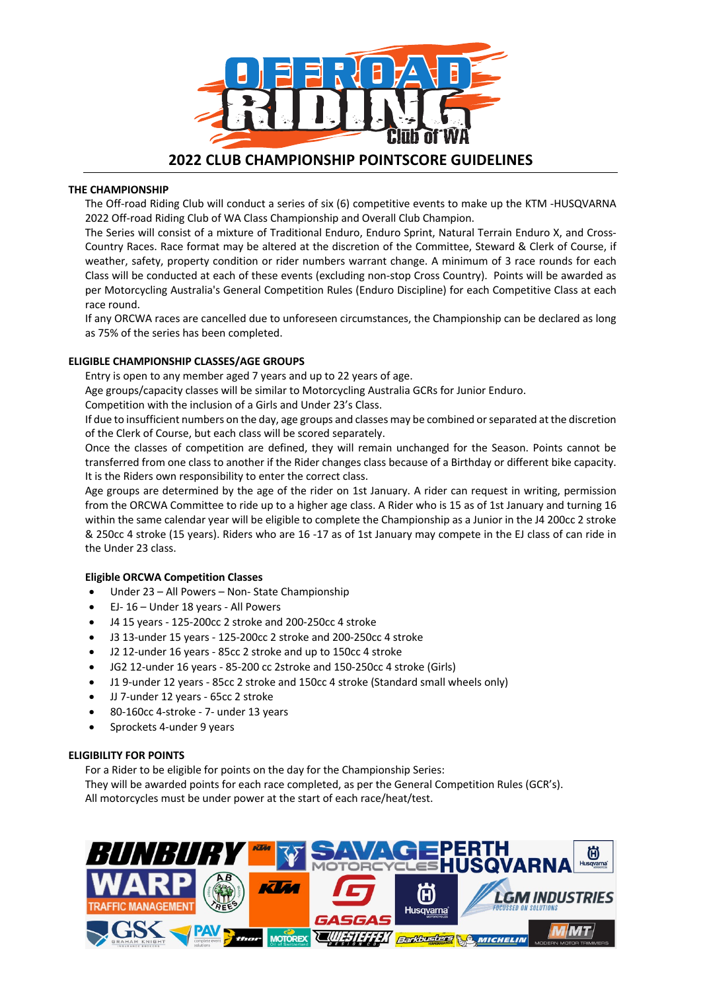

## **THE CHAMPIONSHIP**

The Off-road Riding Club will conduct a series of six (6) competitive events to make up the KTM -HUSQVARNA 2022 Off-road Riding Club of WA Class Championship and Overall Club Champion.

The Series will consist of a mixture of Traditional Enduro, Enduro Sprint, Natural Terrain Enduro X, and Cross-Country Races. Race format may be altered at the discretion of the Committee, Steward & Clerk of Course, if weather, safety, property condition or rider numbers warrant change. A minimum of 3 race rounds for each Class will be conducted at each of these events (excluding non-stop Cross Country). Points will be awarded as per Motorcycling Australia's General Competition Rules (Enduro Discipline) for each Competitive Class at each race round.

If any ORCWA races are cancelled due to unforeseen circumstances, the Championship can be declared as long as 75% of the series has been completed.

## **ELIGIBLE CHAMPIONSHIP CLASSES/AGE GROUPS**

Entry is open to any member aged 7 years and up to 22 years of age.

Age groups/capacity classes will be similar to Motorcycling Australia GCRs for Junior Enduro.

Competition with the inclusion of a Girls and Under 23's Class.

If due to insufficient numbers on the day, age groups and classes may be combined or separated at the discretion of the Clerk of Course, but each class will be scored separately.

Once the classes of competition are defined, they will remain unchanged for the Season. Points cannot be transferred from one class to another if the Rider changes class because of a Birthday or different bike capacity. It is the Riders own responsibility to enter the correct class.

Age groups are determined by the age of the rider on 1st January. A rider can request in writing, permission from the ORCWA Committee to ride up to a higher age class. A Rider who is 15 as of 1st January and turning 16 within the same calendar year will be eligible to complete the Championship as a Junior in the J4 200cc 2 stroke & 250cc 4 stroke (15 years). Riders who are 16 -17 as of 1st January may compete in the EJ class of can ride in the Under 23 class.

# **Eligible ORCWA Competition Classes**

- Under 23 All Powers Non- State Championship
- EJ- 16 Under 18 years All Powers
- J4 15 years 125-200cc 2 stroke and 200-250cc 4 stroke
- J3 13-under 15 years 125-200cc 2 stroke and 200-250cc 4 stroke
- J2 12-under 16 years 85cc 2 stroke and up to 150cc 4 stroke
- JG2 12-under 16 years 85-200 cc 2stroke and 150-250cc 4 stroke (Girls)
- J1 9-under 12 years 85cc 2 stroke and 150cc 4 stroke (Standard small wheels only)
- JJ 7-under 12 years 65cc 2 stroke
- 80-160cc 4-stroke 7- under 13 years
- Sprockets 4-under 9 years

### **ELIGIBILITY FOR POINTS**

For a Rider to be eligible for points on the day for the Championship Series:

They will be awarded points for each race completed, as per the General Competition Rules (GCR's). All motorcycles must be under power at the start of each race/heat/test.

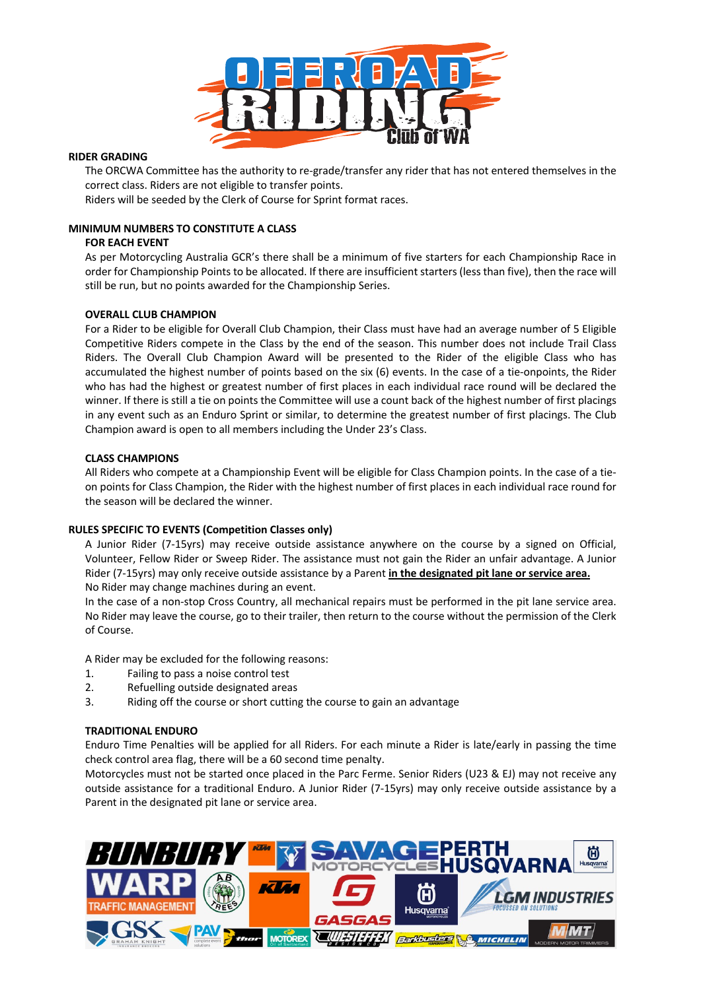

## **RIDER GRADING**

The ORCWA Committee has the authority to re-grade/transfer any rider that has not entered themselves in the correct class. Riders are not eligible to transfer points.

Riders will be seeded by the Clerk of Course for Sprint format races.

# **MINIMUM NUMBERS TO CONSTITUTE A CLASS**

### **FOR EACH EVENT**

As per Motorcycling Australia GCR's there shall be a minimum of five starters for each Championship Race in order for Championship Points to be allocated. If there are insufficient starters (less than five), then the race will still be run, but no points awarded for the Championship Series.

### **OVERALL CLUB CHAMPION**

For a Rider to be eligible for Overall Club Champion, their Class must have had an average number of 5 Eligible Competitive Riders compete in the Class by the end of the season. This number does not include Trail Class Riders. The Overall Club Champion Award will be presented to the Rider of the eligible Class who has accumulated the highest number of points based on the six (6) events. In the case of a tie-onpoints, the Rider who has had the highest or greatest number of first places in each individual race round will be declared the winner. If there is still a tie on points the Committee will use a count back of the highest number of first placings in any event such as an Enduro Sprint or similar, to determine the greatest number of first placings. The Club Champion award is open to all members including the Under 23's Class.

### **CLASS CHAMPIONS**

All Riders who compete at a Championship Event will be eligible for Class Champion points. In the case of a tieon points for Class Champion, the Rider with the highest number of first places in each individual race round for the season will be declared the winner.

### **RULES SPECIFIC TO EVENTS (Competition Classes only)**

A Junior Rider (7-15yrs) may receive outside assistance anywhere on the course by a signed on Official, Volunteer, Fellow Rider or Sweep Rider. The assistance must not gain the Rider an unfair advantage. A Junior Rider (7-15yrs) may only receive outside assistance by a Parent **in the designated pit lane or service area.** No Rider may change machines during an event.

In the case of a non-stop Cross Country, all mechanical repairs must be performed in the pit lane service area. No Rider may leave the course, go to their trailer, then return to the course without the permission of the Clerk of Course.

A Rider may be excluded for the following reasons:

- 1. Failing to pass a noise control test
- 2. Refuelling outside designated areas
- 3. Riding off the course or short cutting the course to gain an advantage

### **TRADITIONAL ENDURO**

Enduro Time Penalties will be applied for all Riders. For each minute a Rider is late/early in passing the time check control area flag, there will be a 60 second time penalty.

Motorcycles must not be started once placed in the Parc Ferme. Senior Riders (U23 & EJ) may not receive any outside assistance for a traditional Enduro. A Junior Rider (7-15yrs) may only receive outside assistance by a Parent in the designated pit lane or service area.